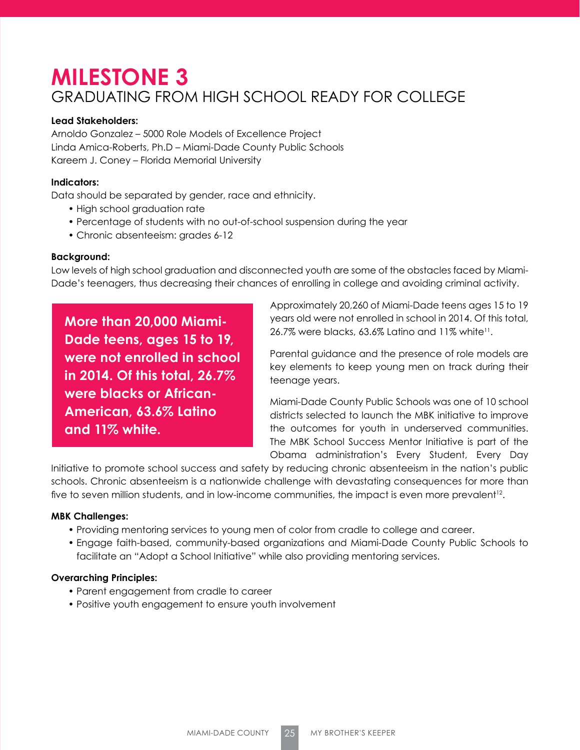# **MILESTONE 3** GRADUATING FROM HIGH SCHOOL READY FOR COLLEGE

### **Lead Stakeholders:**

Arnoldo Gonzalez – 5000 Role Models of Excellence Project Linda Amica-Roberts, Ph.D – Miami-Dade County Public Schools Kareem J. Coney – Florida Memorial University

## **Indicators:**

Data should be separated by gender, race and ethnicity.

- High school graduation rate
- Percentage of students with no out-of-school suspension during the year
- Chronic absenteeism: grades 6-12

#### **Background:**

Low levels of high school graduation and disconnected youth are some of the obstacles faced by Miami-Dade's teenagers, thus decreasing their chances of enrolling in college and avoiding criminal activity.

**More than 20,000 Miami-Dade teens, ages 15 to 19, were not enrolled in school in 2014. Of this total, 26.7% were blacks or African-American, 63.6% Latino and 11% white.**

Approximately 20,260 of Miami-Dade teens ages 15 to 19 years old were not enrolled in school in 2014. Of this total,  $26.7\%$  were blacks,  $63.6\%$  Latino and  $11\%$  white<sup>11</sup>.

Parental guidance and the presence of role models are key elements to keep young men on track during their teenage years.

Miami-Dade County Public Schools was one of 10 school districts selected to launch the MBK initiative to improve the outcomes for youth in underserved communities. The MBK School Success Mentor Initiative is part of the Obama administration's Every Student, Every Day

Initiative to promote school success and safety by reducing chronic absenteeism in the nation's public schools. Chronic absenteeism is a nationwide challenge with devastating consequences for more than five to seven million students, and in low-income communities, the impact is even more prevalent<sup>12</sup>.

#### **MBK Challenges:**

- Providing mentoring services to young men of color from cradle to college and career.
- Engage faith-based, community-based organizations and Miami-Dade County Public Schools to facilitate an "Adopt a School Initiative" while also providing mentoring services.

#### **Overarching Principles:**

- Parent engagement from cradle to career
- Positive youth engagement to ensure youth involvement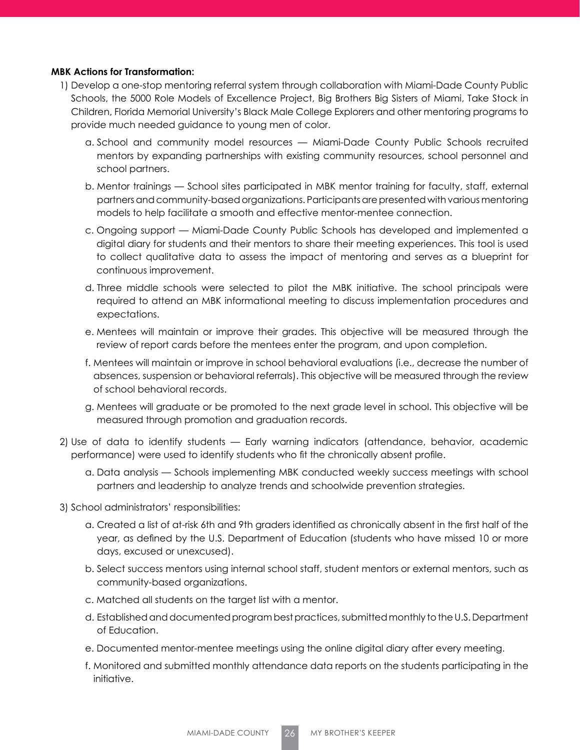#### **MBK Actions for Transformation:**

- 1) Develop a one-stop mentoring referral system through collaboration with Miami-Dade County Public Schools, the 5000 Role Models of Excellence Project, Big Brothers Big Sisters of Miami, Take Stock in Children, Florida Memorial University's Black Male College Explorers and other mentoring programs to provide much needed guidance to young men of color.
	- a. School and community model resources Miami-Dade County Public Schools recruited mentors by expanding partnerships with existing community resources, school personnel and school partners.
	- b. Mentor trainings School sites participated in MBK mentor training for faculty, staff, external partners and community-based organizations. Participants are presented with various mentoring models to help facilitate a smooth and effective mentor-mentee connection.
	- c. Ongoing support Miami-Dade County Public Schools has developed and implemented a digital diary for students and their mentors to share their meeting experiences. This tool is used to collect qualitative data to assess the impact of mentoring and serves as a blueprint for continuous improvement.
	- d. Three middle schools were selected to pilot the MBK initiative. The school principals were required to attend an MBK informational meeting to discuss implementation procedures and expectations.
	- e. Mentees will maintain or improve their grades. This objective will be measured through the review of report cards before the mentees enter the program, and upon completion.
	- f. Mentees will maintain or improve in school behavioral evaluations (i.e., decrease the number of absences, suspension or behavioral referrals). This objective will be measured through the review of school behavioral records.
	- g. Mentees will graduate or be promoted to the next grade level in school. This objective will be measured through promotion and graduation records.
- 2) Use of data to identify students Early warning indicators (attendance, behavior, academic performance) were used to identify students who fit the chronically absent profile.
	- a. Data analysis Schools implementing MBK conducted weekly success meetings with school partners and leadership to analyze trends and schoolwide prevention strategies.
- 3) School administrators' responsibilities:
	- a. Created a list of at-risk 6th and 9th graders identified as chronically absent in the first half of the year, as defined by the U.S. Department of Education (students who have missed 10 or more days, excused or unexcused).
	- b. Select success mentors using internal school staff, student mentors or external mentors, such as community-based organizations.
	- c. Matched all students on the target list with a mentor.
	- d. Established and documented program best practices, submitted monthly to the U.S. Department of Education.
	- e. Documented mentor-mentee meetings using the online digital diary after every meeting.
	- f. Monitored and submitted monthly attendance data reports on the students participating in the initiative.